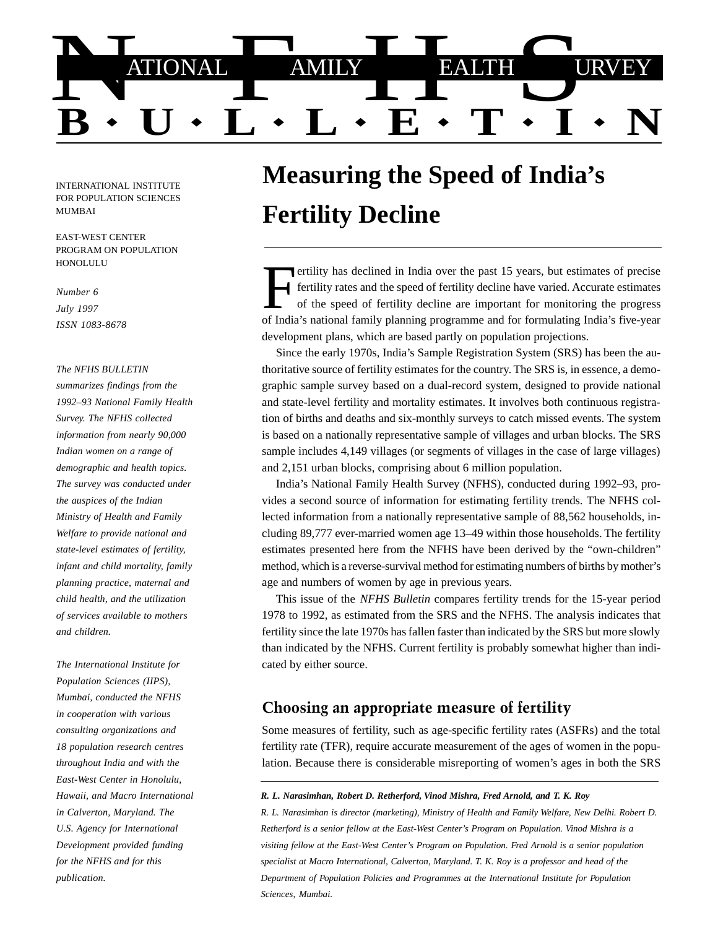

INTERNATIONAL INSTITUTE FOR POPULATION SCIENCES MUMBAI

EAST-WEST CENTER PROGRAM ON POPULATION HONOLULU

*Number 6 July 1997 ISSN 1083-8678*

#### *The NFHS BULLETIN*

*summarizes findings from the 1992–93 National Family Health Survey. The NFHS collected information from nearly 90,000 Indian women on a range of demographic and health topics. The survey was conducted under the auspices of the Indian Ministry of Health and Family Welfare to provide national and state-level estimates of fertility, infant and child mortality, family planning practice, maternal and child health, and the utilization of services available to mothers and children.*

*The International Institute for Population Sciences (IIPS), Mumbai, conducted the NFHS in cooperation with various consulting organizations and 18 population research centres throughout India and with the East-West Center in Honolulu, Hawaii, and Macro International in Calverton, Maryland. The U.S. Agency for International Development provided funding for the NFHS and for this publication.*

# **Measuring the Speed of India's Fertility Decline**

ertility has declined in India over the past 15 years, but estimates of precise fertility rates and the speed of fertility decline have varied. Accurate estimates of the speed of fertility decline are important for monitoring the progress of India's national family planning programme and for formulating India's five-year development plans, which are based partly on population projections.

Since the early 1970s, India's Sample Registration System (SRS) has been the authoritative source of fertility estimates for the country. The SRS is, in essence, a demographic sample survey based on a dual-record system, designed to provide national and state-level fertility and mortality estimates. It involves both continuous registration of births and deaths and six-monthly surveys to catch missed events. The system is based on a nationally representative sample of villages and urban blocks. The SRS sample includes 4,149 villages (or segments of villages in the case of large villages) and 2,151 urban blocks, comprising about 6 million population.

India's National Family Health Survey (NFHS), conducted during 1992–93, provides a second source of information for estimating fertility trends. The NFHS collected information from a nationally representative sample of 88,562 households, including 89,777 ever-married women age 13–49 within those households. The fertility estimates presented here from the NFHS have been derived by the "own-children" method, which is a reverse-survival method for estimating numbers of births by mother's age and numbers of women by age in previous years.

This issue of the *NFHS Bulletin* compares fertility trends for the 15-year period 1978 to 1992, as estimated from the SRS and the NFHS. The analysis indicates that fertility since the late 1970s has fallen faster than indicated by the SRS but more slowly than indicated by the NFHS. Current fertility is probably somewhat higher than indicated by either source.

#### Choosing an appropriate measure of fertility

Some measures of fertility, such as age-specific fertility rates (ASFRs) and the total fertility rate (TFR), require accurate measurement of the ages of women in the population. Because there is considerable misreporting of women's ages in both the SRS

#### *R. L. Narasimhan, Robert D. Retherford, Vinod Mishra, Fred Arnold, and T. K. Roy*

*R. L. Narasimhan is director (marketing), Ministry of Health and Family Welfare, New Delhi. Robert D. Retherford is a senior fellow at the East-West Center's Program on Population. Vinod Mishra is a visiting fellow at the East-West Center's Program on Population. Fred Arnold is a senior population specialist at Macro International, Calverton, Maryland. T. K. Roy is a professor and head of the Department of Population Policies and Programmes at the International Institute for Population Sciences, Mumbai.*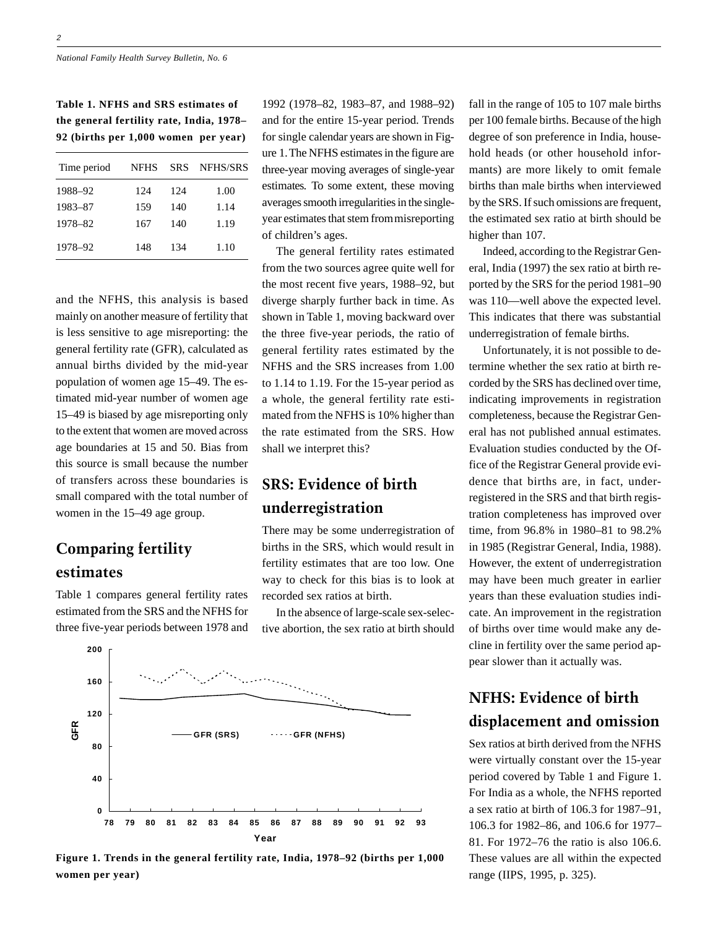**Table 1. NFHS and SRS estimates of the general fertility rate, India, 1978– 92 (births per 1,000 women per year)**

| Time period | <b>NFHS</b> | <b>SRS</b> | <b>NFHS/SRS</b> |
|-------------|-------------|------------|-----------------|
| 1988-92     | 124         | 12.4       | 1.00            |
| 1983-87     | 159         | 140        | 1.14            |
| 1978-82     | 167         | 140        | 1.19            |
| 1978-92     | 148         | 134        | 1.10            |

and the NFHS, this analysis is based mainly on another measure of fertility that is less sensitive to age misreporting: the general fertility rate (GFR), calculated as annual births divided by the mid-year population of women age 15–49. The estimated mid-year number of women age 15–49 is biased by age misreporting only to the extent that women are moved across age boundaries at 15 and 50. Bias from this source is small because the number of transfers across these boundaries is small compared with the total number of women in the 15–49 age group.

### Comparing fertility estimates

Table 1 compares general fertility rates estimated from the SRS and the NFHS for three five-year periods between 1978 and

1992 (1978–82, 1983–87, and 1988–92) and for the entire 15-year period. Trends for single calendar years are shown in Figure 1. The NFHS estimates in the figure are three-year moving averages of single-year estimates. To some extent, these moving averages smooth irregularities in the singleyear estimates that stem from misreporting of children's ages.

The general fertility rates estimated from the two sources agree quite well for the most recent five years, 1988–92, but diverge sharply further back in time. As shown in Table 1, moving backward over the three five-year periods, the ratio of general fertility rates estimated by the NFHS and the SRS increases from 1.00 to 1.14 to 1.19. For the 15-year period as a whole, the general fertility rate estimated from the NFHS is 10% higher than the rate estimated from the SRS. How shall we interpret this?

## SRS: Evidence of birth underregistration

There may be some underregistration of births in the SRS, which would result in fertility estimates that are too low. One way to check for this bias is to look at recorded sex ratios at birth.

In the absence of large-scale sex-selective abortion, the sex ratio at birth should



**Figure 1. Trends in the general fertility rate, India, 1978–92 (births per 1,000 women per year)**

fall in the range of 105 to 107 male births per 100 female births. Because of the high degree of son preference in India, household heads (or other household informants) are more likely to omit female births than male births when interviewed by the SRS. If such omissions are frequent, the estimated sex ratio at birth should be higher than 107.

Indeed, according to the Registrar General, India (1997) the sex ratio at birth reported by the SRS for the period 1981–90 was 110—well above the expected level. This indicates that there was substantial underregistration of female births.

Unfortunately, it is not possible to determine whether the sex ratio at birth recorded by the SRS has declined over time, indicating improvements in registration completeness, because the Registrar General has not published annual estimates. Evaluation studies conducted by the Office of the Registrar General provide evidence that births are, in fact, underregistered in the SRS and that birth registration completeness has improved over time, from 96.8% in 1980–81 to 98.2% in 1985 (Registrar General, India, 1988). However, the extent of underregistration may have been much greater in earlier years than these evaluation studies indicate. An improvement in the registration of births over time would make any decline in fertility over the same period appear slower than it actually was.

### NFHS: Evidence of birth displacement and omission

Sex ratios at birth derived from the NFHS were virtually constant over the 15-year period covered by Table 1 and Figure 1. For India as a whole, the NFHS reported a sex ratio at birth of 106.3 for 1987–91, 106.3 for 1982–86, and 106.6 for 1977– 81. For 1972–76 the ratio is also 106.6. These values are all within the expected range (IIPS, 1995, p. 325).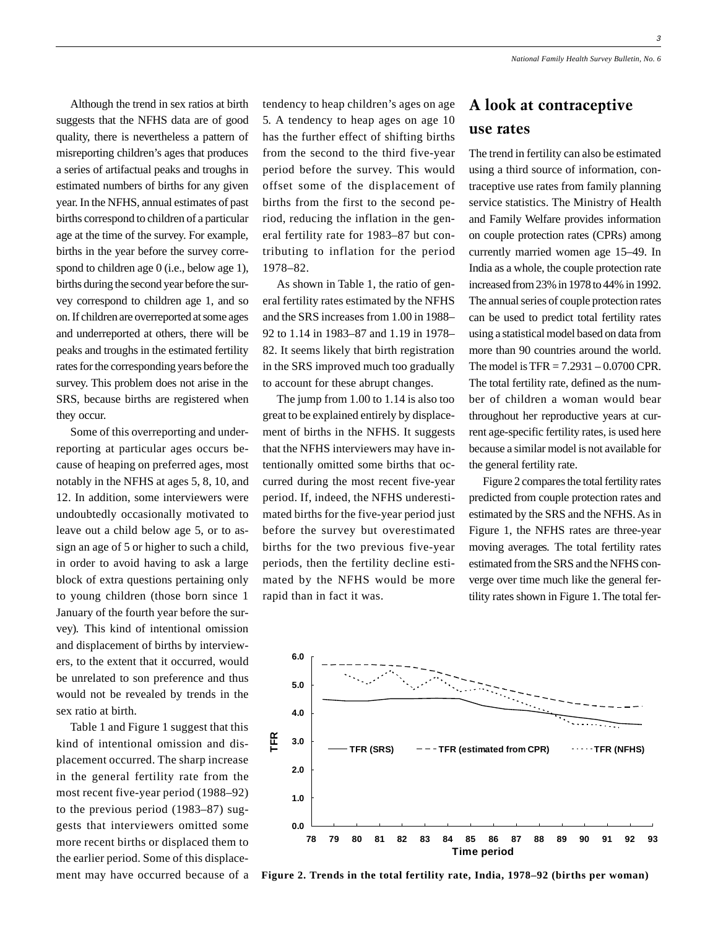3

Although the trend in sex ratios at birth suggests that the NFHS data are of good quality, there is nevertheless a pattern of misreporting children's ages that produces a series of artifactual peaks and troughs in estimated numbers of births for any given year. In the NFHS, annual estimates of past births correspond to children of a particular age at the time of the survey. For example, births in the year before the survey correspond to children age 0 (i.e., below age 1), births during the second year before the survey correspond to children age 1, and so on. If children are overreported at some ages and underreported at others, there will be peaks and troughs in the estimated fertility rates for the corresponding years before the survey. This problem does not arise in the SRS, because births are registered when they occur.

Some of this overreporting and underreporting at particular ages occurs because of heaping on preferred ages, most notably in the NFHS at ages 5, 8, 10, and 12. In addition, some interviewers were undoubtedly occasionally motivated to leave out a child below age 5, or to assign an age of 5 or higher to such a child, in order to avoid having to ask a large block of extra questions pertaining only to young children (those born since 1 January of the fourth year before the survey). This kind of intentional omission and displacement of births by interviewers, to the extent that it occurred, would be unrelated to son preference and thus would not be revealed by trends in the sex ratio at birth.

Table 1 and Figure 1 suggest that this kind of intentional omission and displacement occurred. The sharp increase in the general fertility rate from the most recent five-year period (1988–92) to the previous period (1983–87) suggests that interviewers omitted some more recent births or displaced them to the earlier period. Some of this displacement may have occurred because of a tendency to heap children's ages on age 5. A tendency to heap ages on age 10 has the further effect of shifting births from the second to the third five-year period before the survey. This would offset some of the displacement of births from the first to the second period, reducing the inflation in the general fertility rate for 1983–87 but contributing to inflation for the period 1978–82.

As shown in Table 1, the ratio of general fertility rates estimated by the NFHS and the SRS increases from 1.00 in 1988– 92 to 1.14 in 1983–87 and 1.19 in 1978– 82. It seems likely that birth registration in the SRS improved much too gradually to account for these abrupt changes.

The jump from 1.00 to 1.14 is also too great to be explained entirely by displacement of births in the NFHS. It suggests that the NFHS interviewers may have intentionally omitted some births that occurred during the most recent five-year period. If, indeed, the NFHS underestimated births for the five-year period just before the survey but overestimated births for the two previous five-year periods, then the fertility decline estimated by the NFHS would be more rapid than in fact it was.

### A look at contraceptive use rates

The trend in fertility can also be estimated using a third source of information, contraceptive use rates from family planning service statistics. The Ministry of Health and Family Welfare provides information on couple protection rates (CPRs) among currently married women age 15–49. In India as a whole, the couple protection rate increased from 23% in 1978 to 44% in 1992. The annual series of couple protection rates can be used to predict total fertility rates using a statistical model based on data from more than 90 countries around the world. The model is TFR = 7.2931 – 0.0700 CPR. The total fertility rate, defined as the number of children a woman would bear throughout her reproductive years at current age-specific fertility rates, is used here because a similar model is not available for the general fertility rate.

Figure 2 compares the total fertility rates predicted from couple protection rates and estimated by the SRS and the NFHS. As in Figure 1, the NFHS rates are three-year moving averages. The total fertility rates estimated from the SRS and the NFHS converge over time much like the general fertility rates shown in Figure 1. The total fer-



**Figure 2. Trends in the total fertility rate, India, 1978–92 (births per woman)**